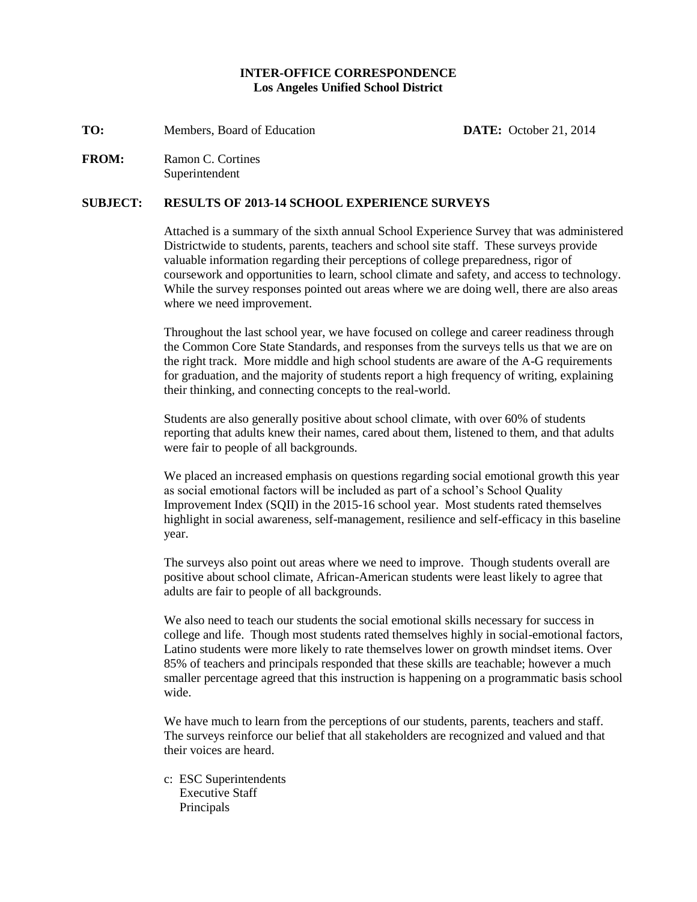#### **INTER-OFFICE CORRESPONDENCE Los Angeles Unified School District**

**TO:** Members, Board of Education **DATE:** October 21, 2014

**FROM:** Ramon C. Cortines Superintendent

#### **SUBJECT: RESULTS OF 2013-14 SCHOOL EXPERIENCE SURVEYS**

Attached is a summary of the sixth annual School Experience Survey that was administered Districtwide to students, parents, teachers and school site staff. These surveys provide valuable information regarding their perceptions of college preparedness, rigor of coursework and opportunities to learn, school climate and safety, and access to technology. While the survey responses pointed out areas where we are doing well, there are also areas where we need improvement.

Throughout the last school year, we have focused on college and career readiness through the Common Core State Standards, and responses from the surveys tells us that we are on the right track. More middle and high school students are aware of the A-G requirements for graduation, and the majority of students report a high frequency of writing, explaining their thinking, and connecting concepts to the real-world.

Students are also generally positive about school climate, with over 60% of students reporting that adults knew their names, cared about them, listened to them, and that adults were fair to people of all backgrounds.

We placed an increased emphasis on questions regarding social emotional growth this year as social emotional factors will be included as part of a school's School Quality Improvement Index (SQII) in the 2015-16 school year. Most students rated themselves highlight in social awareness, self-management, resilience and self-efficacy in this baseline year.

The surveys also point out areas where we need to improve. Though students overall are positive about school climate, African-American students were least likely to agree that adults are fair to people of all backgrounds.

We also need to teach our students the social emotional skills necessary for success in college and life. Though most students rated themselves highly in social-emotional factors, Latino students were more likely to rate themselves lower on growth mindset items. Over 85% of teachers and principals responded that these skills are teachable; however a much smaller percentage agreed that this instruction is happening on a programmatic basis school wide.

We have much to learn from the perceptions of our students, parents, teachers and staff. The surveys reinforce our belief that all stakeholders are recognized and valued and that their voices are heard.

c: ESC Superintendents Executive Staff Principals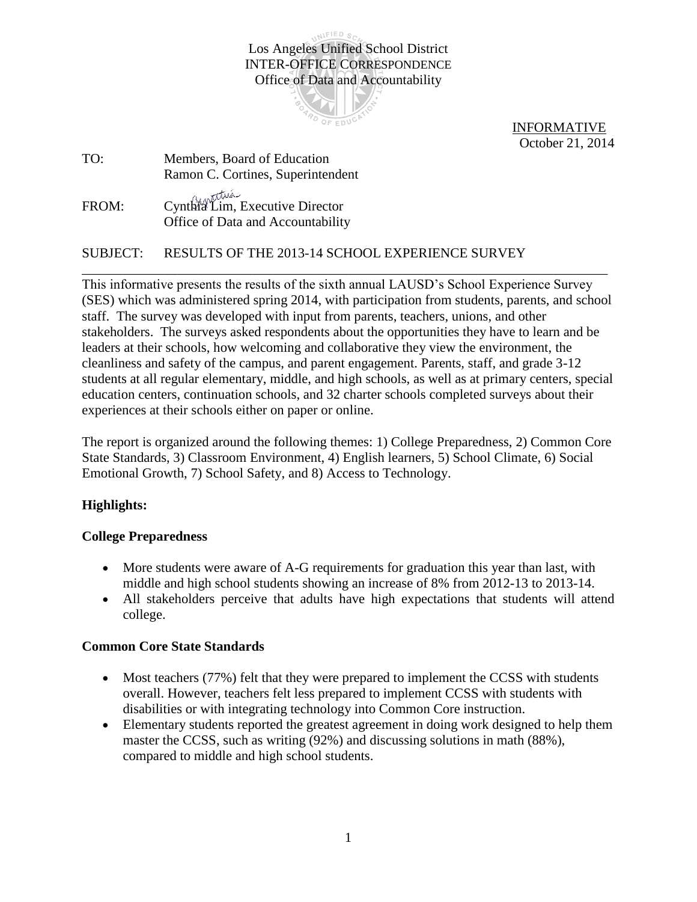UNIFIED SC Los Angeles Unified School District INTER-OFFICE CORRESPONDENCE Office of Data and Accountability



 INFORMATIVE October 21, 2014

TO: Members, Board of Education Ramon C. Cortines, Superintendent FROM: Cynthia Lim, Executive Director Office of Data and Accountability

SUBJECT: RESULTS OF THE 2013-14 SCHOOL EXPERIENCE SURVEY

This informative presents the results of the sixth annual LAUSD's School Experience Survey (SES) which was administered spring 2014, with participation from students, parents, and school staff. The survey was developed with input from parents, teachers, unions, and other stakeholders. The surveys asked respondents about the opportunities they have to learn and be leaders at their schools, how welcoming and collaborative they view the environment, the cleanliness and safety of the campus, and parent engagement. Parents, staff, and grade 3-12 students at all regular elementary, middle, and high schools, as well as at primary centers, special education centers, continuation schools, and 32 charter schools completed surveys about their experiences at their schools either on paper or online.

\_\_\_\_\_\_\_\_\_\_\_\_\_\_\_\_\_\_\_\_\_\_\_\_\_\_\_\_\_\_\_\_\_\_\_\_\_\_\_\_\_\_\_\_\_\_\_\_\_\_\_\_\_\_\_\_\_\_\_\_\_\_\_\_\_\_\_\_\_\_\_\_\_\_\_\_\_

The report is organized around the following themes: 1) College Preparedness, 2) Common Core State Standards, 3) Classroom Environment, 4) English learners, 5) School Climate, 6) Social Emotional Growth, 7) School Safety, and 8) Access to Technology.

# **Highlights:**

# **College Preparedness**

- More students were aware of A-G requirements for graduation this year than last, with middle and high school students showing an increase of 8% from 2012-13 to 2013-14.
- All stakeholders perceive that adults have high expectations that students will attend college.

# **Common Core State Standards**

- Most teachers (77%) felt that they were prepared to implement the CCSS with students overall. However, teachers felt less prepared to implement CCSS with students with disabilities or with integrating technology into Common Core instruction.
- Elementary students reported the greatest agreement in doing work designed to help them master the CCSS, such as writing (92%) and discussing solutions in math (88%), compared to middle and high school students.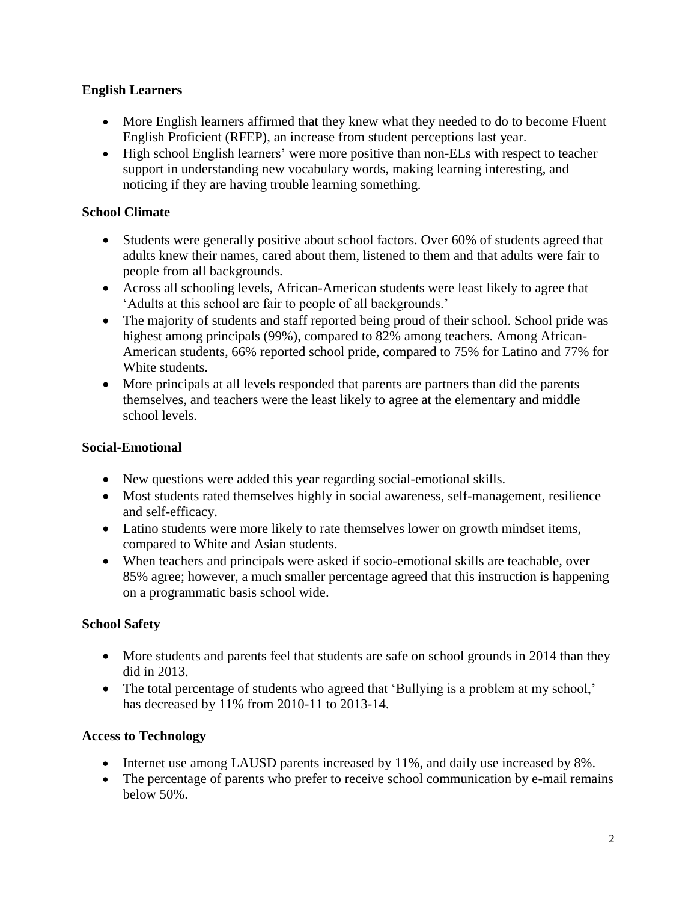# **English Learners**

- More English learners affirmed that they knew what they needed to do to become Fluent English Proficient (RFEP), an increase from student perceptions last year.
- High school English learners' were more positive than non-ELs with respect to teacher support in understanding new vocabulary words, making learning interesting, and noticing if they are having trouble learning something.

# **School Climate**

- Students were generally positive about school factors. Over 60% of students agreed that adults knew their names, cared about them, listened to them and that adults were fair to people from all backgrounds.
- Across all schooling levels, African-American students were least likely to agree that 'Adults at this school are fair to people of all backgrounds.'
- The majority of students and staff reported being proud of their school. School pride was highest among principals (99%), compared to 82% among teachers. Among African-American students, 66% reported school pride, compared to 75% for Latino and 77% for White students.
- More principals at all levels responded that parents are partners than did the parents themselves, and teachers were the least likely to agree at the elementary and middle school levels.

# **Social-Emotional**

- New questions were added this year regarding social-emotional skills.
- Most students rated themselves highly in social awareness, self-management, resilience and self-efficacy.
- Latino students were more likely to rate themselves lower on growth mindset items, compared to White and Asian students.
- When teachers and principals were asked if socio-emotional skills are teachable, over 85% agree; however, a much smaller percentage agreed that this instruction is happening on a programmatic basis school wide.

# **School Safety**

- More students and parents feel that students are safe on school grounds in 2014 than they did in 2013.
- The total percentage of students who agreed that 'Bullying is a problem at my school,' has decreased by 11% from 2010-11 to 2013-14.

# **Access to Technology**

- Internet use among LAUSD parents increased by 11%, and daily use increased by 8%.
- The percentage of parents who prefer to receive school communication by e-mail remains below 50%.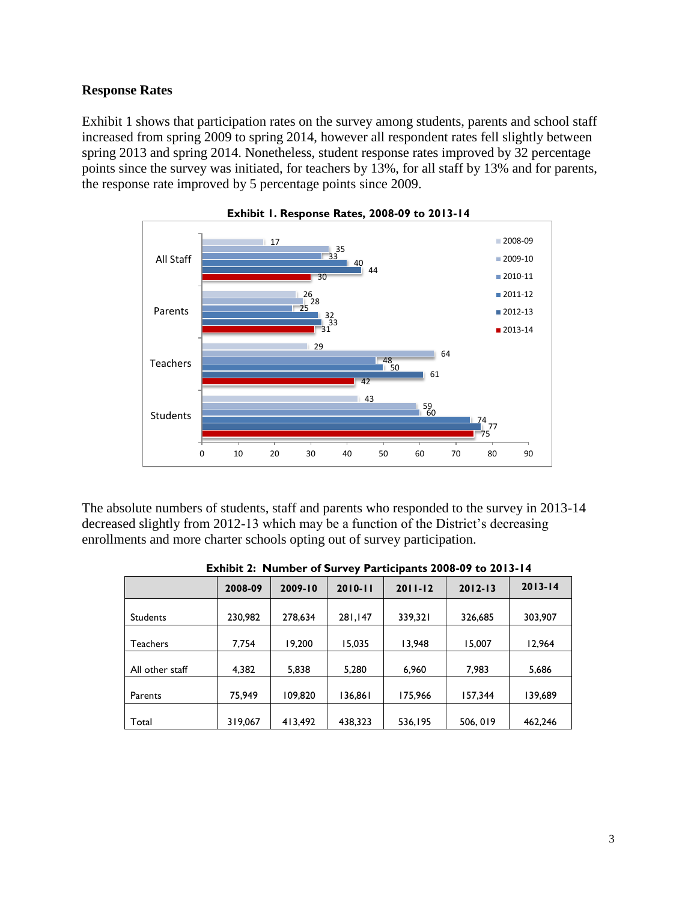### **Response Rates**

Exhibit 1 shows that participation rates on the survey among students, parents and school staff increased from spring 2009 to spring 2014, however all respondent rates fell slightly between spring 2013 and spring 2014. Nonetheless, student response rates improved by 32 percentage points since the survey was initiated, for teachers by 13%, for all staff by 13% and for parents, the response rate improved by 5 percentage points since 2009.





The absolute numbers of students, staff and parents who responded to the survey in 2013-14 decreased slightly from 2012-13 which may be a function of the District's decreasing enrollments and more charter schools opting out of survey participation.

| EXIMULE. INCHING: OF SUITCY Farticipants 2000-07 to 2013-14 |         |         |             |             |             |             |
|-------------------------------------------------------------|---------|---------|-------------|-------------|-------------|-------------|
|                                                             | 2008-09 | 2009-10 | $2010 - 11$ | $2011 - 12$ | $2012 - 13$ | $2013 - 14$ |
| Students                                                    | 230,982 | 278,634 | 281,147     | 339,321     | 326,685     | 303,907     |
| Teachers                                                    | 7,754   | 19,200  | 15,035      | 13,948      | 15,007      | 12,964      |
| All other staff                                             | 4,382   | 5,838   | 5,280       | 6,960       | 7,983       | 5,686       |
| Parents                                                     | 75,949  | 109,820 | 136,861     | 175,966     | 157.344     | 139,689     |
| Total                                                       | 319,067 | 413,492 | 438,323     | 536,195     | 506, 019    | 462,246     |

| Exhibit 2: Number of Survey Participants 2008-09 to 2013-14 |  |  |  |
|-------------------------------------------------------------|--|--|--|
|                                                             |  |  |  |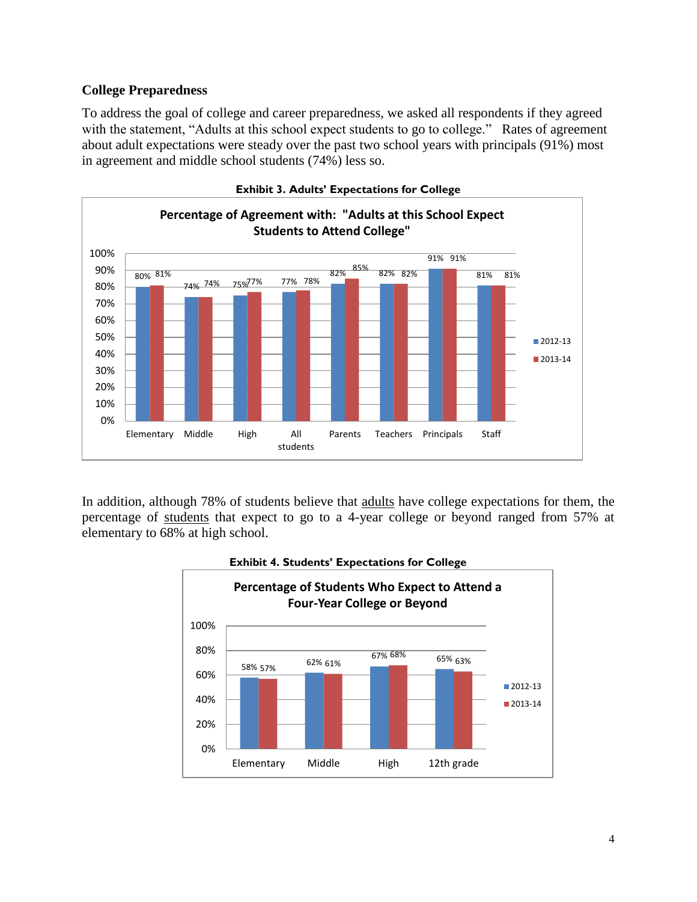## **College Preparedness**

To address the goal of college and career preparedness, we asked all respondents if they agreed with the statement, "Adults at this school expect students to go to college." Rates of agreement about adult expectations were steady over the past two school years with principals (91%) most in agreement and middle school students (74%) less so.



In addition, although 78% of students believe that adults have college expectations for them, the percentage of students that expect to go to a 4-year college or beyond ranged from 57% at elementary to 68% at high school.



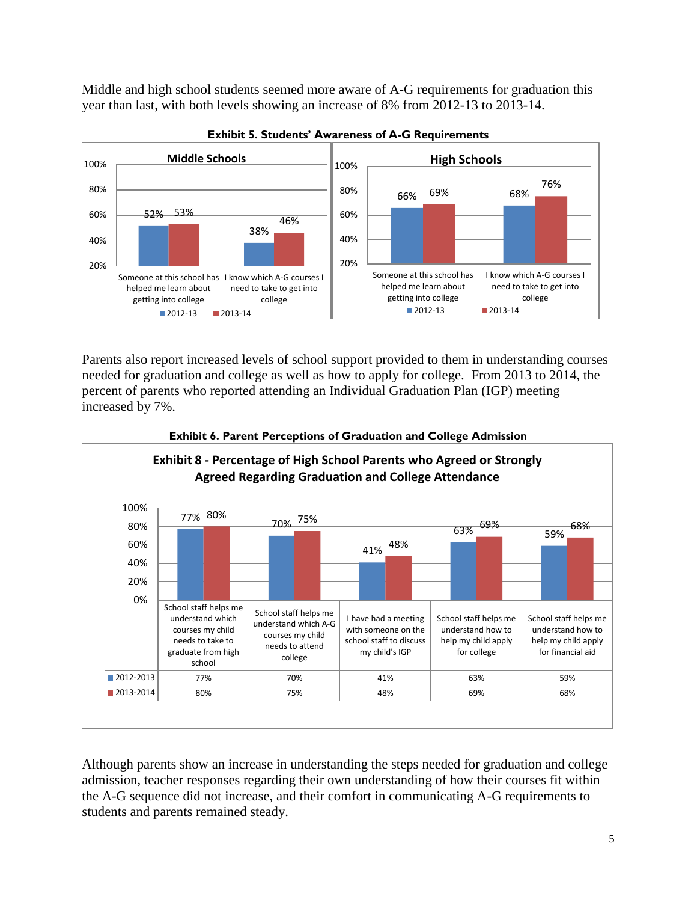Middle and high school students seemed more aware of A-G requirements for graduation this year than last, with both levels showing an increase of 8% from 2012-13 to 2013-14.





Parents also report increased levels of school support provided to them in understanding courses needed for graduation and college as well as how to apply for college. From 2013 to 2014, the percent of parents who reported attending an Individual Graduation Plan (IGP) meeting increased by 7%.



### **Exhibit 6. Parent Perceptions of Graduation and College Admission**

Although parents show an increase in understanding the steps needed for graduation and college admission, teacher responses regarding their own understanding of how their courses fit within the A-G sequence did not increase, and their comfort in communicating A-G requirements to students and parents remained steady.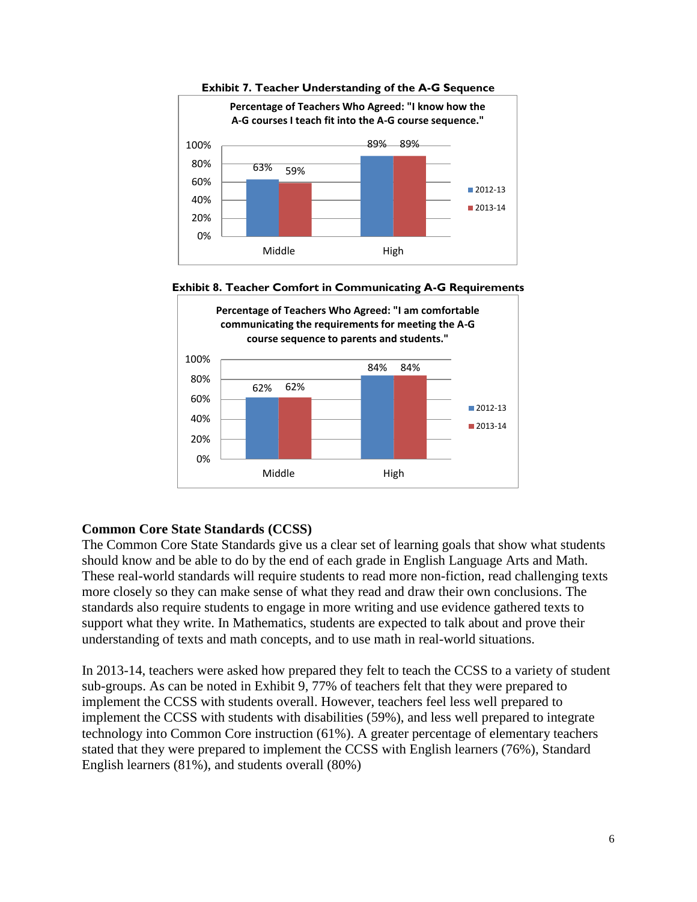







# **Common Core State Standards (CCSS)**

The Common Core State Standards give us a clear set of learning goals that show what students should know and be able to do by the end of each grade in English Language Arts and Math. These real-world standards will require students to read more non-fiction, read challenging texts more closely so they can make sense of what they read and draw their own conclusions. The standards also require students to engage in more writing and use evidence gathered texts to support what they write. In Mathematics, students are expected to talk about and prove their understanding of texts and math concepts, and to use math in real-world situations.

In 2013-14, teachers were asked how prepared they felt to teach the CCSS to a variety of student sub-groups. As can be noted in Exhibit 9, 77% of teachers felt that they were prepared to implement the CCSS with students overall. However, teachers feel less well prepared to implement the CCSS with students with disabilities (59%), and less well prepared to integrate technology into Common Core instruction (61%). A greater percentage of elementary teachers stated that they were prepared to implement the CCSS with English learners (76%), Standard English learners (81%), and students overall (80%)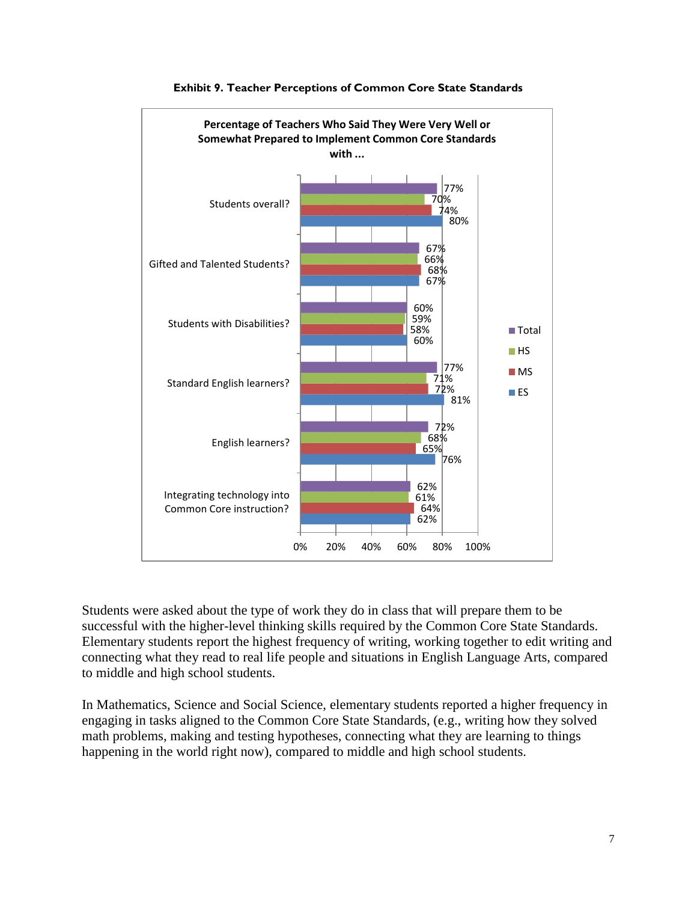

### **Exhibit 9. Teacher Perceptions of Common Core State Standards**

Students were asked about the type of work they do in class that will prepare them to be successful with the higher-level thinking skills required by the Common Core State Standards. Elementary students report the highest frequency of writing, working together to edit writing and connecting what they read to real life people and situations in English Language Arts, compared to middle and high school students.

In Mathematics, Science and Social Science, elementary students reported a higher frequency in engaging in tasks aligned to the Common Core State Standards, (e.g., writing how they solved math problems, making and testing hypotheses, connecting what they are learning to things happening in the world right now), compared to middle and high school students.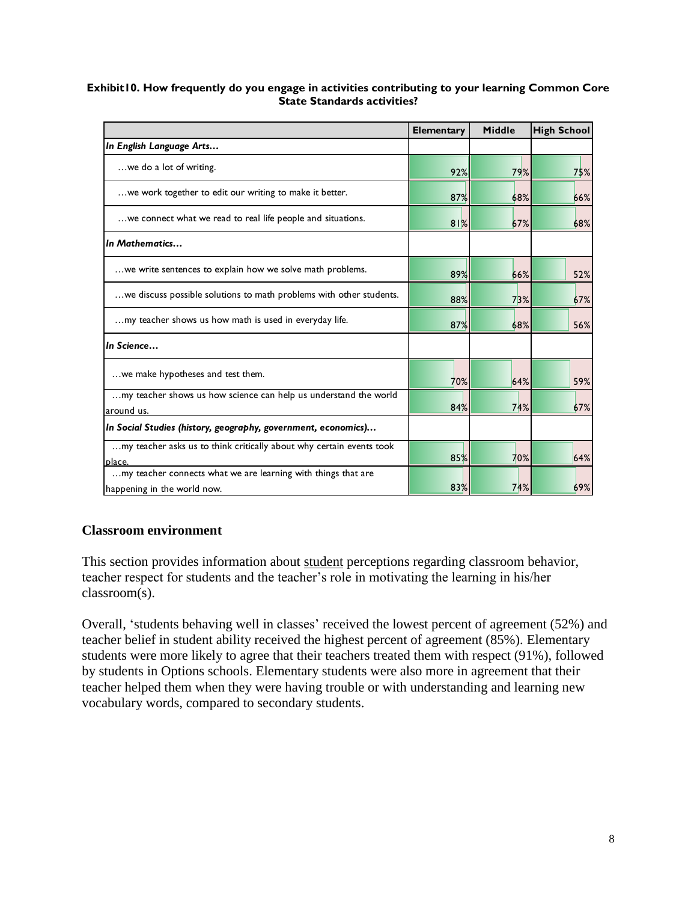#### **Exhibit10. How frequently do you engage in activities contributing to your learning Common Core State Standards activities?**

|                                                                                | <b>Elementary</b> | Middle | <b>High School</b> |
|--------------------------------------------------------------------------------|-------------------|--------|--------------------|
| In English Language Arts                                                       |                   |        |                    |
| we do a lot of writing.                                                        | 92%               | 79%    | 75%                |
| we work together to edit our writing to make it better.                        | 87%               | 68%    | 66%                |
| we connect what we read to real life people and situations.                    | 81%               | 67%    | 68%                |
| In Mathematics                                                                 |                   |        |                    |
| we write sentences to explain how we solve math problems.                      | 89%               | 66%    | 52%                |
| we discuss possible solutions to math problems with other students.            | 88%               | 73%    | 67%                |
| my teacher shows us how math is used in everyday life.                         | 87%               | 68%    | 56%                |
| In Science                                                                     |                   |        |                    |
| we make hypotheses and test them.                                              | 70%               | 64%    | 59%                |
| my teacher shows us how science can help us understand the world<br>around us. | 84%               | 74%    | 67%                |
| In Social Studies (history, geography, government, economics)                  |                   |        |                    |
| my teacher asks us to think critically about why certain events took<br>place. | 85%               | 70%    | 64%                |
| my teacher connects what we are learning with things that are                  |                   |        |                    |
| happening in the world now.                                                    | 83%               | 74%    | 69%                |

# **Classroom environment**

This section provides information about student perceptions regarding classroom behavior, teacher respect for students and the teacher's role in motivating the learning in his/her classroom(s).

Overall, 'students behaving well in classes' received the lowest percent of agreement (52%) and teacher belief in student ability received the highest percent of agreement (85%). Elementary students were more likely to agree that their teachers treated them with respect (91%), followed by students in Options schools. Elementary students were also more in agreement that their teacher helped them when they were having trouble or with understanding and learning new vocabulary words, compared to secondary students.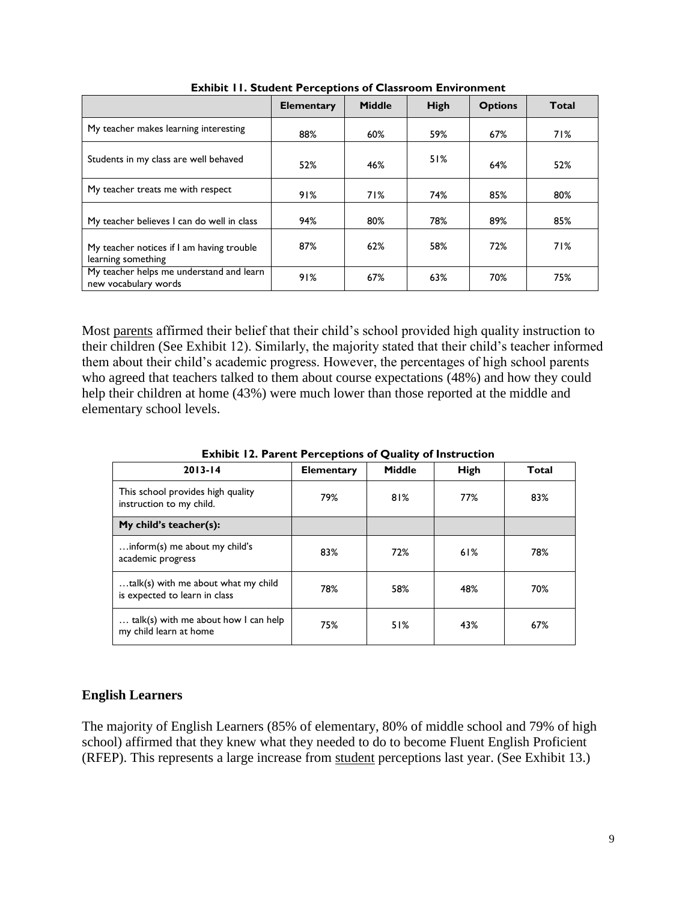|                                                                  | <b>Elementary</b> | <b>Middle</b> | <b>High</b> | <b>Options</b> | Total |
|------------------------------------------------------------------|-------------------|---------------|-------------|----------------|-------|
| My teacher makes learning interesting                            | 88%               | 60%           | 59%         | 67%            | 71%   |
| Students in my class are well behaved                            | 52%               | 46%           | 51%         | 64%            | 52%   |
| My teacher treats me with respect                                | 91%               | 71%           | 74%         | 85%            | 80%   |
| My teacher believes I can do well in class                       | 94%               | 80%           | 78%         | 89%            | 85%   |
| My teacher notices if I am having trouble<br>learning something  | 87%               | 62%           | 58%         | 72%            | 71%   |
| My teacher helps me understand and learn<br>new vocabulary words | 91%               | 67%           | 63%         | 70%            | 75%   |

**Exhibit 11. Student Perceptions of Classroom Environment**

Most parents affirmed their belief that their child's school provided high quality instruction to their children (See Exhibit 12). Similarly, the majority stated that their child's teacher informed them about their child's academic progress. However, the percentages of high school parents who agreed that teachers talked to them about course expectations (48%) and how they could help their children at home (43%) were much lower than those reported at the middle and elementary school levels.

| $2013 - 14$                                                          | <b>Elementary</b> | Middle | <b>High</b> | Total |
|----------------------------------------------------------------------|-------------------|--------|-------------|-------|
| This school provides high quality<br>instruction to my child.        | 79%               | 81%    | 77%         | 83%   |
| My child's teacher(s):                                               |                   |        |             |       |
| inform(s) me about my child's<br>academic progress                   | 83%               | 72%    | 61%         | 78%   |
| talk(s) with me about what my child<br>is expected to learn in class | 78%               | 58%    | 48%         | 70%   |
| talk(s) with me about how I can help<br>my child learn at home       | 75%               | 51%    | 43%         | 67%   |

**Exhibit 12. Parent Perceptions of Quality of Instruction** 

### **English Learners**

The majority of English Learners (85% of elementary, 80% of middle school and 79% of high school) affirmed that they knew what they needed to do to become Fluent English Proficient (RFEP). This represents a large increase from student perceptions last year. (See Exhibit 13.)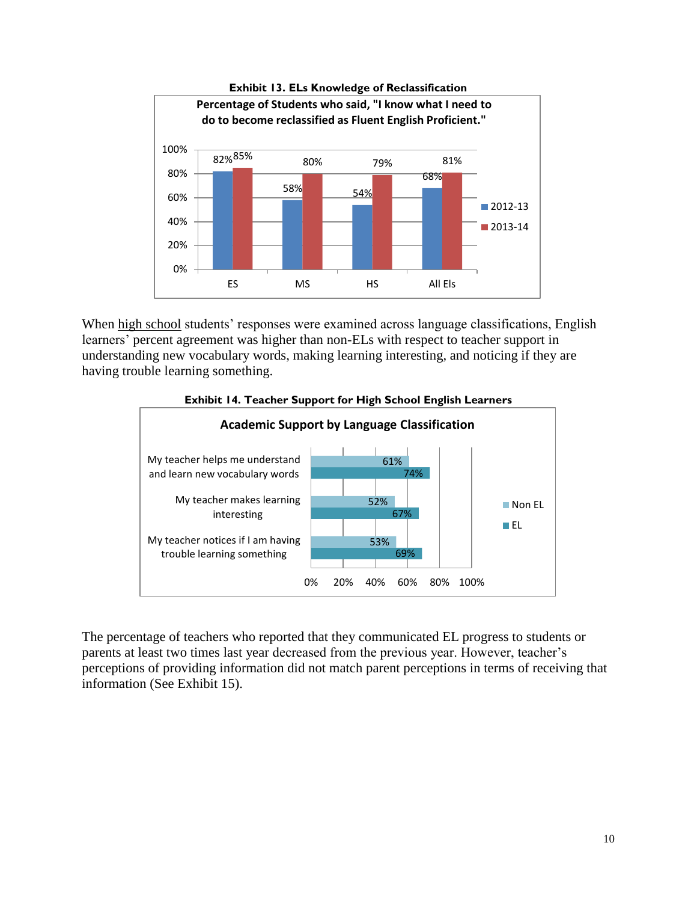

When high school students' responses were examined across language classifications, English learners' percent agreement was higher than non-ELs with respect to teacher support in understanding new vocabulary words, making learning interesting, and noticing if they are having trouble learning something.





The percentage of teachers who reported that they communicated EL progress to students or parents at least two times last year decreased from the previous year. However, teacher's perceptions of providing information did not match parent perceptions in terms of receiving that information (See Exhibit 15).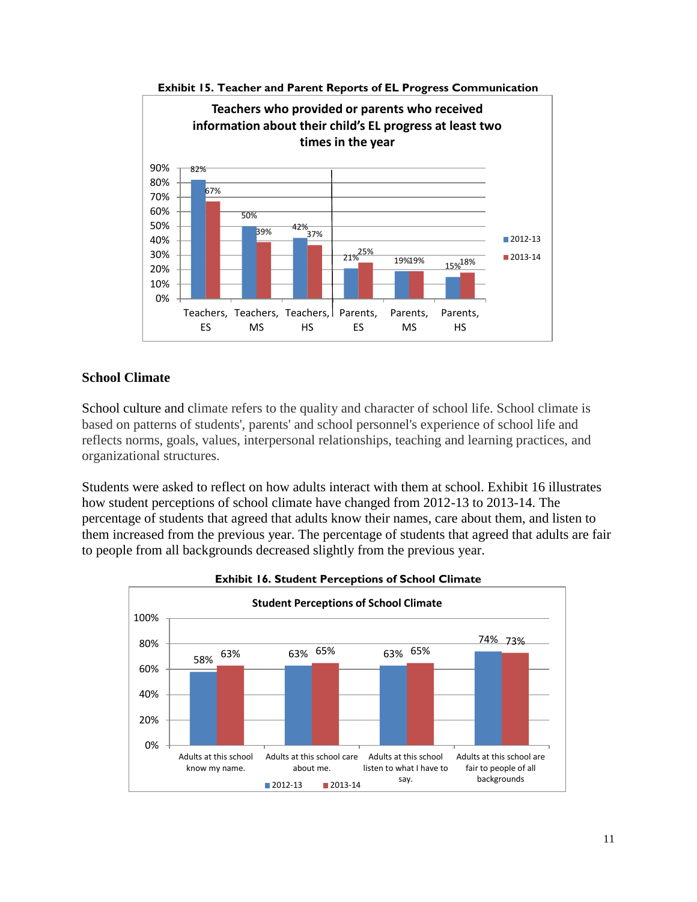

**Exhibit 15. Teacher and Parent Reports of EL Progress Communication**

### **School Climate**

School culture and climate refers to the quality and character of school life. School climate is based on patterns of students', parents' and school personnel's experience of school life and reflects norms, goals, values, interpersonal relationships, teaching and learning practices, and organizational structures.

Students were asked to reflect on how adults interact with them at school. Exhibit 16 illustrates how student perceptions of school climate have changed from 2012-13 to 2013-14. The percentage of students that agreed that adults know their names, care about them, and listen to them increased from the previous year. The percentage of students that agreed that adults are fair to people from all backgrounds decreased slightly from the previous year.



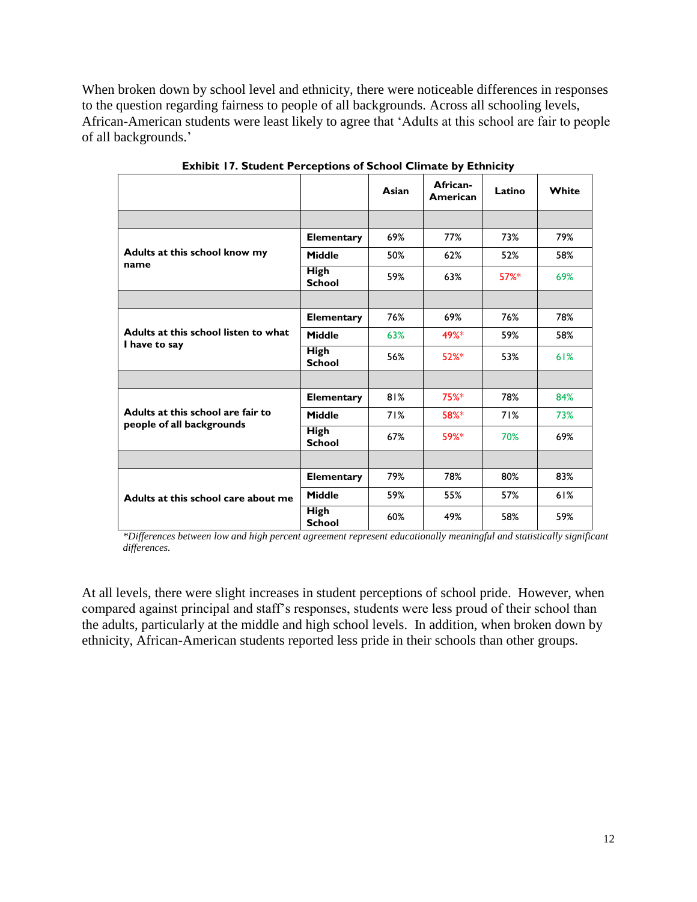When broken down by school level and ethnicity, there were noticeable differences in responses to the question regarding fairness to people of all backgrounds. Across all schooling levels, African-American students were least likely to agree that 'Adults at this school are fair to people of all backgrounds.'

|                                                                |                              | Asian | African-<br>American | Latino   | White |
|----------------------------------------------------------------|------------------------------|-------|----------------------|----------|-------|
|                                                                |                              |       |                      |          |       |
|                                                                | <b>Elementary</b>            | 69%   | 77%                  | 73%      | 79%   |
| Adults at this school know my<br>name                          | <b>Middle</b>                | 50%   | 62%                  | 52%      | 58%   |
|                                                                | <b>High</b><br><b>School</b> | 59%   | 63%                  | $57\%$ * | 69%   |
|                                                                |                              |       |                      |          |       |
| Adults at this school listen to what<br>I have to say          | <b>Elementary</b>            | 76%   | 69%                  | 76%      | 78%   |
|                                                                | <b>Middle</b>                | 63%   | 49%*                 | 59%      | 58%   |
|                                                                | <b>High</b><br><b>School</b> | 56%   | $52%$ *              | 53%      | 61%   |
|                                                                |                              |       |                      |          |       |
|                                                                | <b>Elementary</b>            | 81%   | 75%*                 | 78%      | 84%   |
| Adults at this school are fair to<br>people of all backgrounds | Middle                       | 71%   | 58%*                 | 71%      | 73%   |
|                                                                | <b>High</b><br><b>School</b> | 67%   | 59%*                 | 70%      | 69%   |
|                                                                |                              |       |                      |          |       |
|                                                                | <b>Elementary</b>            | 79%   | 78%                  | 80%      | 83%   |
| Adults at this school care about me                            | Middle                       | 59%   | 55%                  | 57%      | 61%   |
|                                                                | <b>High</b><br><b>School</b> | 60%   | 49%                  | 58%      | 59%   |

**Exhibit 17. Student Perceptions of School Climate by Ethnicity**

*\*Differences between low and high percent agreement represent educationally meaningful and statistically significant differences.*

At all levels, there were slight increases in student perceptions of school pride. However, when compared against principal and staff's responses, students were less proud of their school than the adults, particularly at the middle and high school levels. In addition, when broken down by ethnicity, African-American students reported less pride in their schools than other groups.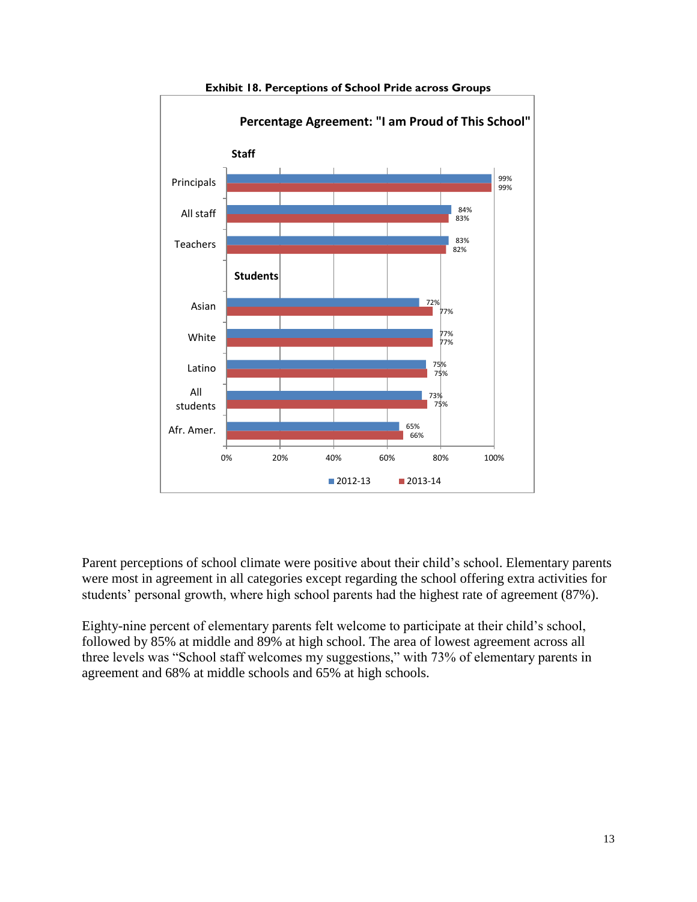



Parent perceptions of school climate were positive about their child's school. Elementary parents were most in agreement in all categories except regarding the school offering extra activities for students' personal growth, where high school parents had the highest rate of agreement (87%).

Eighty-nine percent of elementary parents felt welcome to participate at their child's school, followed by 85% at middle and 89% at high school. The area of lowest agreement across all three levels was "School staff welcomes my suggestions," with 73% of elementary parents in agreement and 68% at middle schools and 65% at high schools.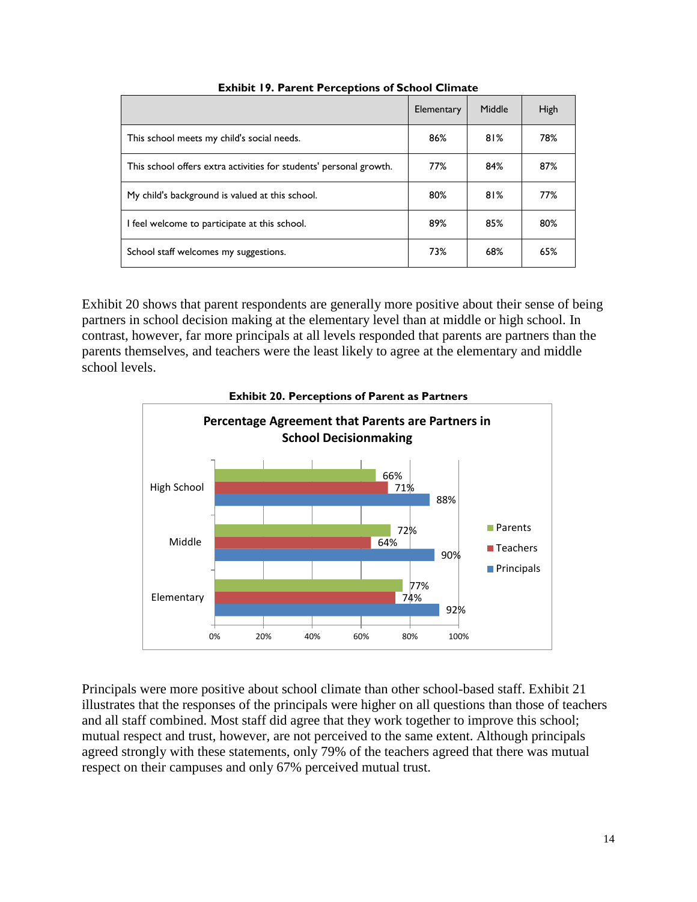|                                                                    | Elementary | Middle | High |
|--------------------------------------------------------------------|------------|--------|------|
| This school meets my child's social needs.                         | 86%        | 81%    | 78%  |
| This school offers extra activities for students' personal growth. | 77%        | 84%    | 87%  |
| My child's background is valued at this school.                    | 80%        | 81%    | 77%  |
| I feel welcome to participate at this school.                      | 89%        | 85%    | 80%  |
| School staff welcomes my suggestions.                              | 73%        | 68%    | 65%  |

#### **Exhibit 19. Parent Perceptions of School Climate**

Exhibit 20 shows that parent respondents are generally more positive about their sense of being partners in school decision making at the elementary level than at middle or high school. In contrast, however, far more principals at all levels responded that parents are partners than the parents themselves, and teachers were the least likely to agree at the elementary and middle school levels.



Principals were more positive about school climate than other school-based staff. Exhibit 21 illustrates that the responses of the principals were higher on all questions than those of teachers and all staff combined. Most staff did agree that they work together to improve this school; mutual respect and trust, however, are not perceived to the same extent. Although principals agreed strongly with these statements, only 79% of the teachers agreed that there was mutual respect on their campuses and only 67% perceived mutual trust.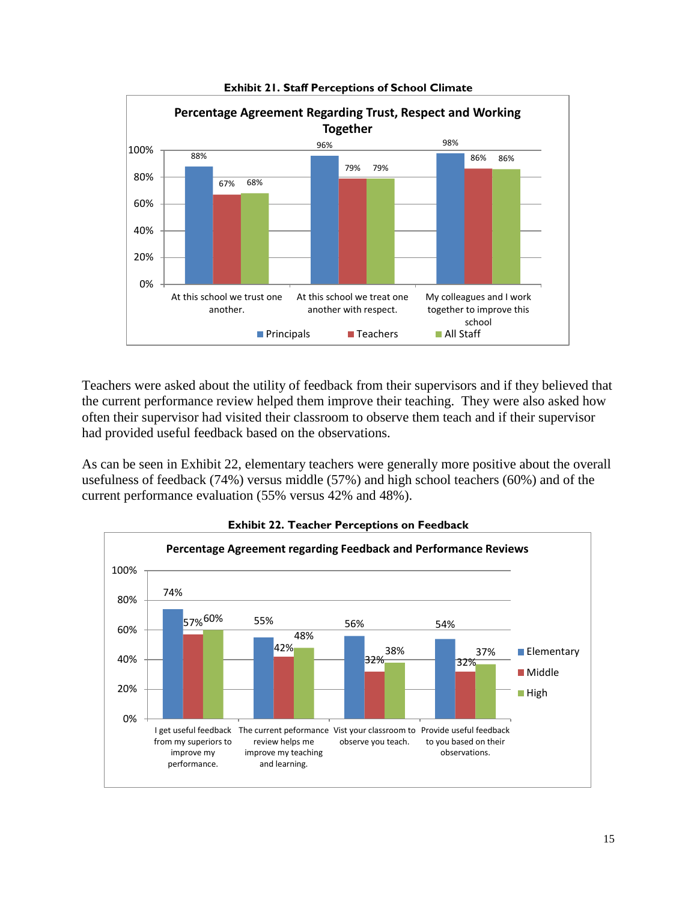

**Exhibit 21. Staff Perceptions of School Climate** 

Teachers were asked about the utility of feedback from their supervisors and if they believed that the current performance review helped them improve their teaching. They were also asked how often their supervisor had visited their classroom to observe them teach and if their supervisor had provided useful feedback based on the observations.

As can be seen in Exhibit 22, elementary teachers were generally more positive about the overall usefulness of feedback (74%) versus middle (57%) and high school teachers (60%) and of the current performance evaluation (55% versus 42% and 48%).



**Exhibit 22. Teacher Perceptions on Feedback**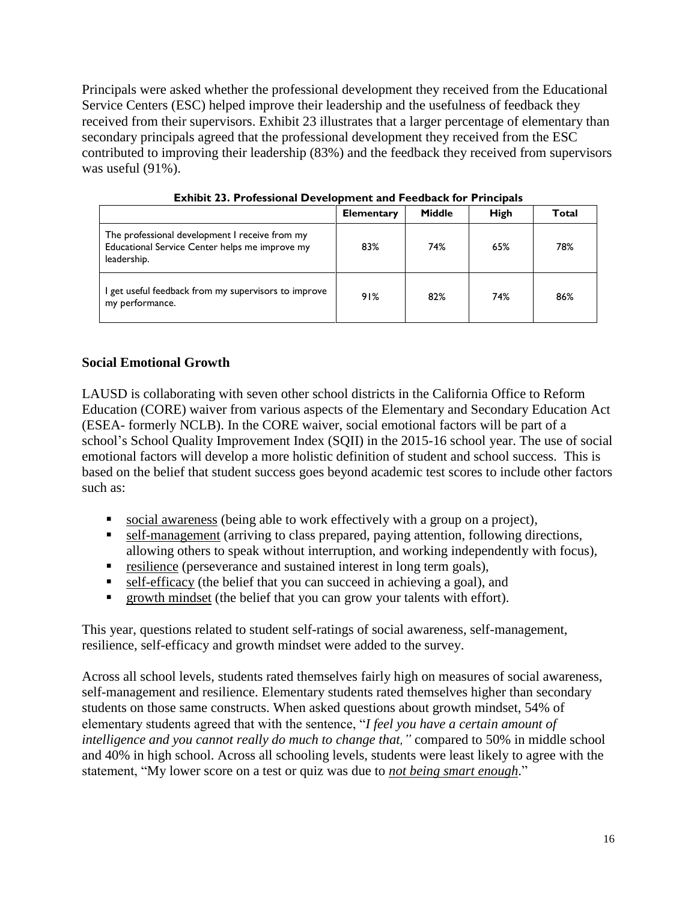Principals were asked whether the professional development they received from the Educational Service Centers (ESC) helped improve their leadership and the usefulness of feedback they received from their supervisors. Exhibit 23 illustrates that a larger percentage of elementary than secondary principals agreed that the professional development they received from the ESC contributed to improving their leadership (83%) and the feedback they received from supervisors was useful (91%).

|                                                                                                                 | <b>Elementary</b> | Middle | <b>High</b> | Total |
|-----------------------------------------------------------------------------------------------------------------|-------------------|--------|-------------|-------|
| The professional development I receive from my<br>Educational Service Center helps me improve my<br>leadership. | 83%               | 74%    | 65%         | 78%   |
| I get useful feedback from my supervisors to improve<br>my performance.                                         | 91%               | 82%    | 74%         | 86%   |

**Exhibit 23. Professional Development and Feedback for Principals**

# **Social Emotional Growth**

LAUSD is collaborating with seven other school districts in the California Office to Reform Education (CORE) waiver from various aspects of the Elementary and Secondary Education Act (ESEA- formerly NCLB). In the CORE waiver, social emotional factors will be part of a school's School Quality Improvement Index (SQII) in the 2015-16 school year. The use of social emotional factors will develop a more holistic definition of student and school success. This is based on the belief that student success goes beyond academic test scores to include other factors such as:

- social awareness (being able to work effectively with a group on a project),
- self-management (arriving to class prepared, paying attention, following directions, allowing others to speak without interruption, and working independently with focus),
- resilience (perseverance and sustained interest in long term goals),
- self-efficacy (the belief that you can succeed in achieving a goal), and
- **The growth mindset (the belief that you can grow your talents with effort).**

This year, questions related to student self-ratings of social awareness, self-management, resilience, self-efficacy and growth mindset were added to the survey.

Across all school levels, students rated themselves fairly high on measures of social awareness, self-management and resilience. Elementary students rated themselves higher than secondary students on those same constructs. When asked questions about growth mindset, 54% of elementary students agreed that with the sentence, "*I feel you have a certain amount of intelligence and you cannot really do much to change that,"* compared to 50% in middle school and 40% in high school. Across all schooling levels, students were least likely to agree with the statement, "My lower score on a test or quiz was due to *not being smart enough*."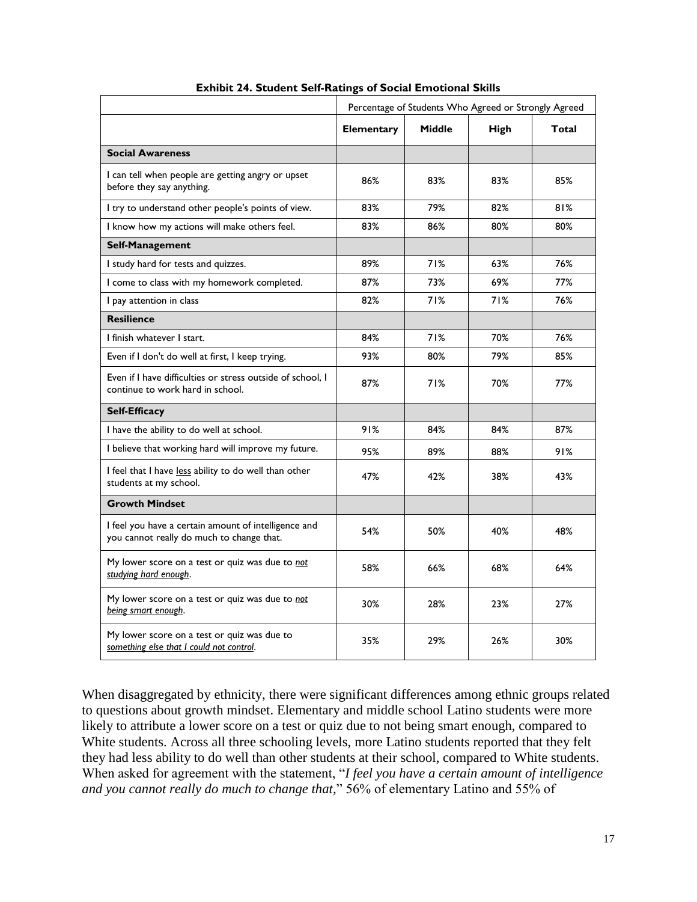|                                                                                                   | Percentage of Students Who Agreed or Strongly Agreed |               |      |       |  |
|---------------------------------------------------------------------------------------------------|------------------------------------------------------|---------------|------|-------|--|
|                                                                                                   | <b>Elementary</b>                                    | <b>Middle</b> | High | Total |  |
| <b>Social Awareness</b>                                                                           |                                                      |               |      |       |  |
| I can tell when people are getting angry or upset<br>before they say anything.                    | 86%                                                  | 83%           | 83%  | 85%   |  |
| I try to understand other people's points of view.                                                | 83%                                                  | 79%           | 82%  | 81%   |  |
| I know how my actions will make others feel.                                                      | 83%                                                  | 86%           | 80%  | 80%   |  |
| Self-Management                                                                                   |                                                      |               |      |       |  |
| I study hard for tests and quizzes.                                                               | 89%                                                  | 71%           | 63%  | 76%   |  |
| I come to class with my homework completed.                                                       | 87%                                                  | 73%           | 69%  | 77%   |  |
| I pay attention in class                                                                          | 82%                                                  | 71%           | 71%  | 76%   |  |
| <b>Resilience</b>                                                                                 |                                                      |               |      |       |  |
| I finish whatever I start.                                                                        | 84%                                                  | 71%           | 70%  | 76%   |  |
| Even if I don't do well at first, I keep trying.                                                  | 93%                                                  | 80%           | 79%  | 85%   |  |
| Even if I have difficulties or stress outside of school, I<br>continue to work hard in school.    | 87%                                                  | 71%           | 70%  | 77%   |  |
| <b>Self-Efficacy</b>                                                                              |                                                      |               |      |       |  |
| I have the ability to do well at school.                                                          | 91%                                                  | 84%           | 84%  | 87%   |  |
| I believe that working hard will improve my future.                                               | 95%                                                  | 89%           | 88%  | 91%   |  |
| I feel that I have less ability to do well than other<br>students at my school.                   | 47%                                                  | 42%           | 38%  | 43%   |  |
| <b>Growth Mindset</b>                                                                             |                                                      |               |      |       |  |
| I feel you have a certain amount of intelligence and<br>you cannot really do much to change that. | 54%                                                  | 50%           | 40%  | 48%   |  |
| My lower score on a test or quiz was due to not<br>studying hard enough.                          | 58%                                                  | 66%           | 68%  | 64%   |  |
| My lower score on a test or quiz was due to not<br>being smart enough.                            | 30%                                                  | 28%           | 23%  | 27%   |  |
| My lower score on a test or quiz was due to<br>something else that I could not control.           | 35%                                                  | 29%           | 26%  | 30%   |  |

#### **Exhibit 24. Student Self-Ratings of Social Emotional Skills**

When disaggregated by ethnicity, there were significant differences among ethnic groups related to questions about growth mindset. Elementary and middle school Latino students were more likely to attribute a lower score on a test or quiz due to not being smart enough, compared to White students. Across all three schooling levels, more Latino students reported that they felt they had less ability to do well than other students at their school, compared to White students. When asked for agreement with the statement, "*I feel you have a certain amount of intelligence and you cannot really do much to change that,*" 56% of elementary Latino and 55% of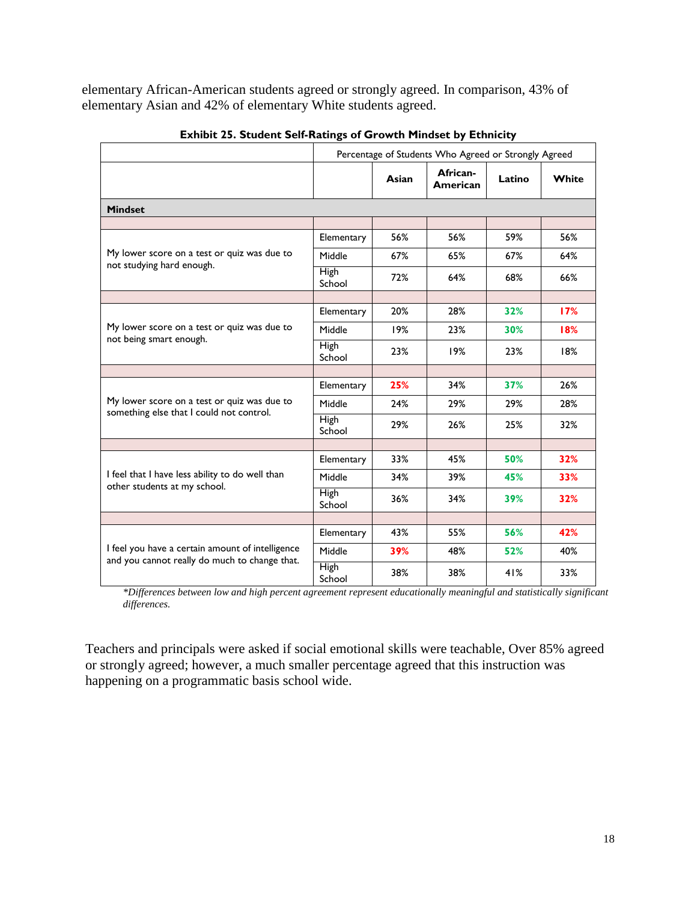elementary African-American students agreed or strongly agreed. In comparison, 43% of elementary Asian and 42% of elementary White students agreed.

|                                                                                                   | Percentage of Students Who Agreed or Strongly Agreed |       |                      |        |       |
|---------------------------------------------------------------------------------------------------|------------------------------------------------------|-------|----------------------|--------|-------|
|                                                                                                   |                                                      | Asian | African-<br>American | Latino | White |
| <b>Mindset</b>                                                                                    |                                                      |       |                      |        |       |
|                                                                                                   |                                                      |       |                      |        |       |
|                                                                                                   | Elementary                                           | 56%   | 56%                  | 59%    | 56%   |
| My lower score on a test or quiz was due to<br>not studying hard enough.                          | Middle                                               | 67%   | 65%                  | 67%    | 64%   |
|                                                                                                   | <b>High</b><br>School                                | 72%   | 64%                  | 68%    | 66%   |
|                                                                                                   |                                                      |       |                      |        |       |
|                                                                                                   | Elementary                                           | 20%   | 28%                  | 32%    | 17%   |
| My lower score on a test or quiz was due to<br>not being smart enough.                            | Middle                                               | 19%   | 23%                  | 30%    | 18%   |
|                                                                                                   | High<br>School                                       | 23%   | 19%                  | 23%    | 18%   |
|                                                                                                   |                                                      |       |                      |        |       |
|                                                                                                   | Elementary                                           | 25%   | 34%                  | 37%    | 26%   |
| My lower score on a test or quiz was due to<br>something else that I could not control.           | Middle                                               | 24%   | 29%                  | 29%    | 28%   |
|                                                                                                   | <b>High</b><br>School                                | 29%   | 26%                  | 25%    | 32%   |
|                                                                                                   |                                                      |       |                      |        |       |
|                                                                                                   | Elementary                                           | 33%   | 45%                  | 50%    | 32%   |
| I feel that I have less ability to do well than<br>other students at my school.                   | Middle                                               | 34%   | 39%                  | 45%    | 33%   |
|                                                                                                   | <b>High</b><br>School                                | 36%   | 34%                  | 39%    | 32%   |
|                                                                                                   |                                                      |       |                      |        |       |
|                                                                                                   | Elementary                                           | 43%   | 55%                  | 56%    | 42%   |
| I feel you have a certain amount of intelligence<br>and you cannot really do much to change that. | Middle                                               | 39%   | 48%                  | 52%    | 40%   |
|                                                                                                   | High<br>School                                       | 38%   | 38%                  | 41%    | 33%   |

|  | Exhibit 25. Student Self-Ratings of Growth Mindset by Ethnicity |  |  |
|--|-----------------------------------------------------------------|--|--|
|  |                                                                 |  |  |

*\*Differences between low and high percent agreement represent educationally meaningful and statistically significant differences.*

Teachers and principals were asked if social emotional skills were teachable, Over 85% agreed or strongly agreed; however, a much smaller percentage agreed that this instruction was happening on a programmatic basis school wide.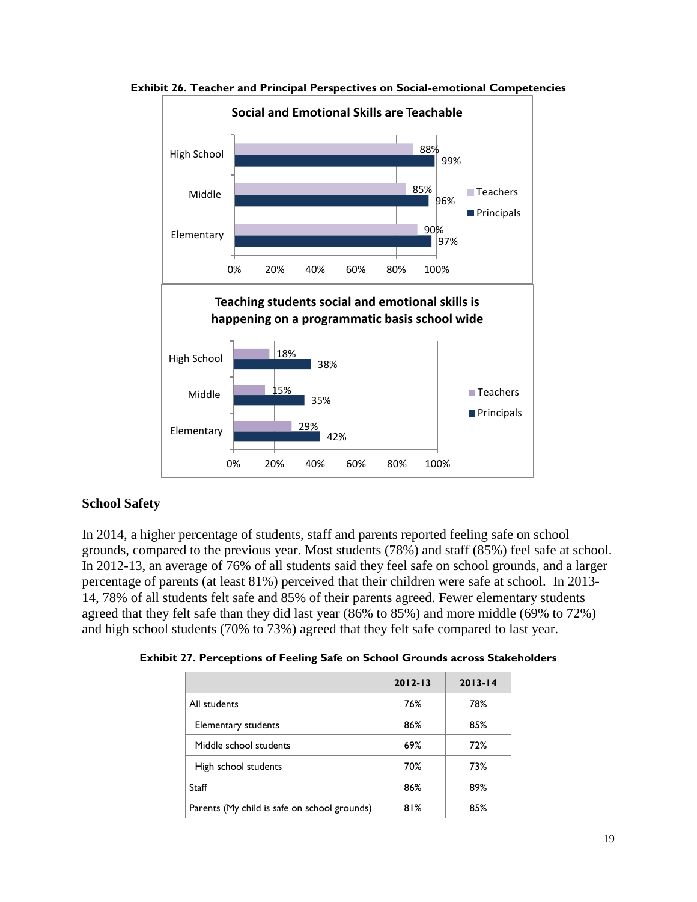

**Exhibit 26. Teacher and Principal Perspectives on Social-emotional Competencies** 

# **School Safety**

In 2014, a higher percentage of students, staff and parents reported feeling safe on school grounds, compared to the previous year. Most students (78%) and staff (85%) feel safe at school. In 2012-13, an average of 76% of all students said they feel safe on school grounds, and a larger percentage of parents (at least 81%) perceived that their children were safe at school. In 2013- 14, 78% of all students felt safe and 85% of their parents agreed. Fewer elementary students agreed that they felt safe than they did last year (86% to 85%) and more middle (69% to 72%) and high school students (70% to 73%) agreed that they felt safe compared to last year.

**Exhibit 27. Perceptions of Feeling Safe on School Grounds across Stakeholders**

|                                              | $2012 - 13$ | $2013 - 14$ |
|----------------------------------------------|-------------|-------------|
| All students                                 | 76%         | 78%         |
| Elementary students                          | 86%         | 85%         |
| Middle school students                       | 69%         | 72%         |
| High school students                         | 70%         | 73%         |
| Staff                                        | 86%         | 89%         |
| Parents (My child is safe on school grounds) | 81%         | 85%         |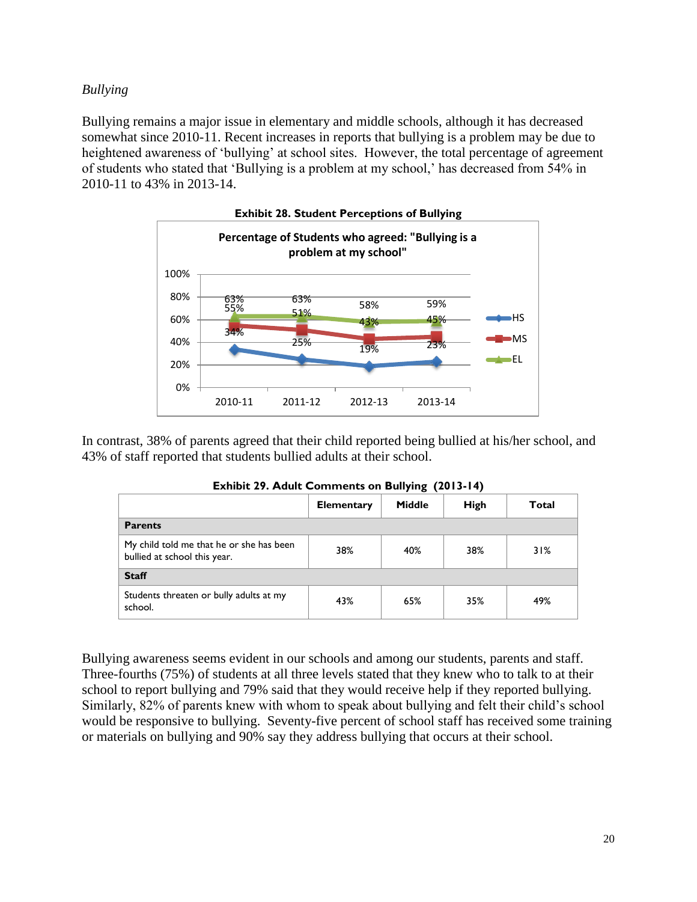## *Bullying*

Bullying remains a major issue in elementary and middle schools, although it has decreased somewhat since 2010-11. Recent increases in reports that bullying is a problem may be due to heightened awareness of 'bullying' at school sites. However, the total percentage of agreement of students who stated that 'Bullying is a problem at my school,' has decreased from 54% in 2010-11 to 43% in 2013-14.



**Exhibit 28. Student Perceptions of Bullying** 

In contrast, 38% of parents agreed that their child reported being bullied at his/her school, and 43% of staff reported that students bullied adults at their school.

|                                                                          | <b>Elementary</b> | <b>Middle</b> | <b>High</b> | Total |  |
|--------------------------------------------------------------------------|-------------------|---------------|-------------|-------|--|
| <b>Parents</b>                                                           |                   |               |             |       |  |
| My child told me that he or she has been<br>bullied at school this year. | 38%               | 40%           | 38%         | 31%   |  |
| <b>Staff</b>                                                             |                   |               |             |       |  |
| Students threaten or bully adults at my<br>school.                       | 43%               | 65%           | 35%         | 49%   |  |

**Exhibit 29. Adult Comments on Bullying (2013-14)**

Bullying awareness seems evident in our schools and among our students, parents and staff. Three-fourths (75%) of students at all three levels stated that they knew who to talk to at their school to report bullying and 79% said that they would receive help if they reported bullying. Similarly, 82% of parents knew with whom to speak about bullying and felt their child's school would be responsive to bullying. Seventy-five percent of school staff has received some training or materials on bullying and 90% say they address bullying that occurs at their school.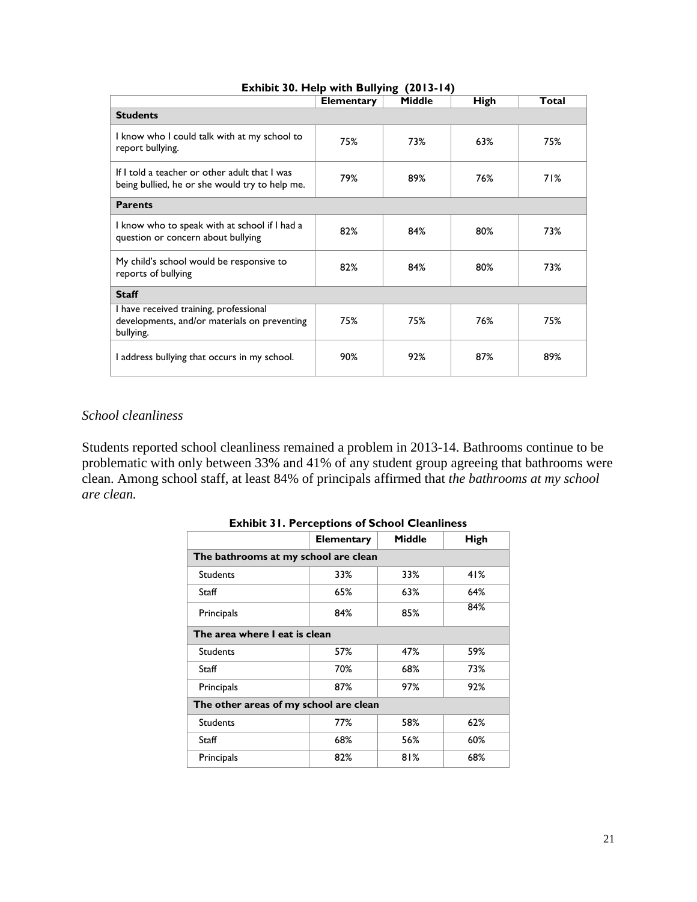|                                                                                                     | <b>Elementary</b> | <b>Middle</b> | <b>High</b> | Total |  |
|-----------------------------------------------------------------------------------------------------|-------------------|---------------|-------------|-------|--|
| <b>Students</b>                                                                                     |                   |               |             |       |  |
| I know who I could talk with at my school to<br>report bullying.                                    | 75%               | 73%           | 63%         | 75%   |  |
| If I told a teacher or other adult that I was<br>being bullied, he or she would try to help me.     | 79%               | 89%           | 76%         | 71%   |  |
| <b>Parents</b>                                                                                      |                   |               |             |       |  |
| I know who to speak with at school if I had a<br>question or concern about bullying                 | 82%               | 84%           | 80%         | 73%   |  |
| My child's school would be responsive to<br>reports of bullying                                     | 82%               | 84%           | 80%         | 73%   |  |
| <b>Staff</b>                                                                                        |                   |               |             |       |  |
| I have received training, professional<br>developments, and/or materials on preventing<br>bullying. | 75%               | 75%           | 76%         | 75%   |  |
| I address bullying that occurs in my school.                                                        | 90%               | 92%           | 87%         | 89%   |  |

## **Exhibit 30. Help with Bullying (2013-14)**

# *School cleanliness*

Students reported school cleanliness remained a problem in 2013-14. Bathrooms continue to be problematic with only between 33% and 41% of any student group agreeing that bathrooms were clean. Among school staff, at least 84% of principals affirmed that *the bathrooms at my school are clean.* 

| <b>EXIMPLE 31. FULLER LIGATIONS OF SCHOOL CREATINIUSS</b> |                   |               |             |  |  |
|-----------------------------------------------------------|-------------------|---------------|-------------|--|--|
|                                                           | <b>Elementary</b> | <b>Middle</b> | <b>High</b> |  |  |
| The bathrooms at my school are clean                      |                   |               |             |  |  |
| <b>Students</b>                                           | 33%               | 33%           | 41%         |  |  |
| Staff                                                     | 65%               | 63%           | 64%         |  |  |
| Principals                                                | 84%               | 85%           | 84%         |  |  |
| The area where I eat is clean                             |                   |               |             |  |  |
| <b>Students</b>                                           | 57%               | 47%           | 59%         |  |  |
| Staff                                                     | 70%               | 68%           | 73%         |  |  |
| Principals                                                | 87%               | 97%           | 92%         |  |  |
| The other areas of my school are clean                    |                   |               |             |  |  |
| <b>Students</b>                                           | 77%               | 58%           | 62%         |  |  |
| Staff                                                     | 68%               | 56%           | 60%         |  |  |
| Principals                                                | 82%               | 81%           | 68%         |  |  |

## **Exhibit 31. Perceptions of School Cleanliness**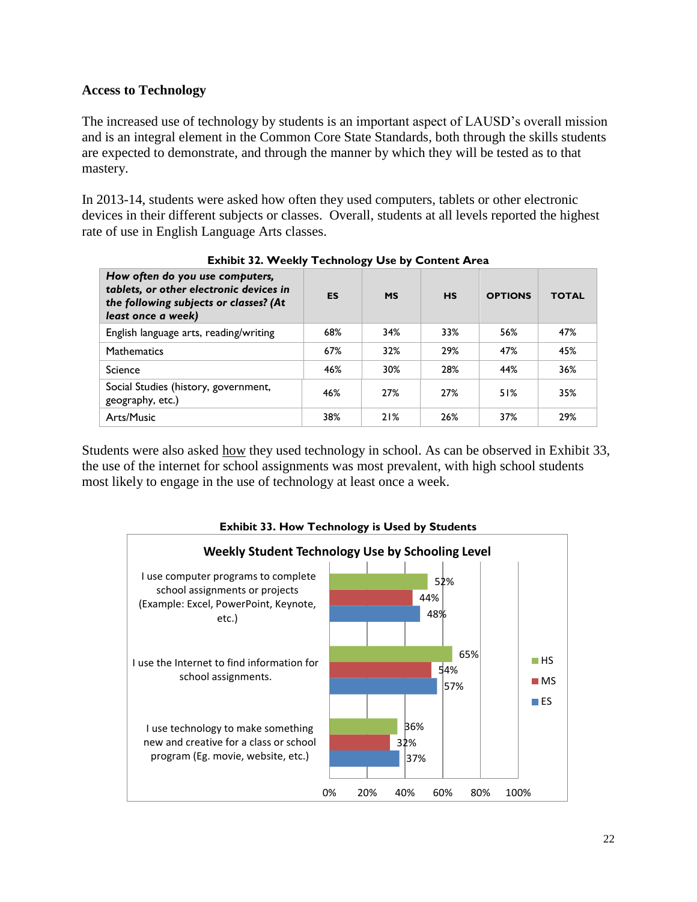# **Access to Technology**

The increased use of technology by students is an important aspect of LAUSD's overall mission and is an integral element in the Common Core State Standards, both through the skills students are expected to demonstrate, and through the manner by which they will be tested as to that mastery.

In 2013-14, students were asked how often they used computers, tablets or other electronic devices in their different subjects or classes. Overall, students at all levels reported the highest rate of use in English Language Arts classes.

| How often do you use computers,<br>tablets, or other electronic devices in<br>the following subjects or classes? (At<br>least once a week) | ES  | <b>MS</b> | <b>HS</b> | <b>OPTIONS</b> | <b>TOTAL</b> |
|--------------------------------------------------------------------------------------------------------------------------------------------|-----|-----------|-----------|----------------|--------------|
| English language arts, reading/writing                                                                                                     | 68% | 34%       | 33%       | 56%            | 47%          |
| <b>Mathematics</b>                                                                                                                         | 67% | 32%       | 29%       | 47%            | 45%          |
| <b>Science</b>                                                                                                                             | 46% | 30%       | 28%       | 44%            | 36%          |
| Social Studies (history, government,<br>geography, etc.)                                                                                   | 46% | 27%       | 27%       | 51%            | 35%          |
| Arts/Music                                                                                                                                 | 38% | 21%       | 26%       | 37%            | 29%          |

**Exhibit 32. Weekly Technology Use by Content Area** 

Students were also asked <u>how</u> they used technology in school. As can be observed in Exhibit 33, the use of the internet for school assignments was most prevalent, with high school students most likely to engage in the use of technology at least once a week.



**Exhibit 33. How Technology is Used by Students**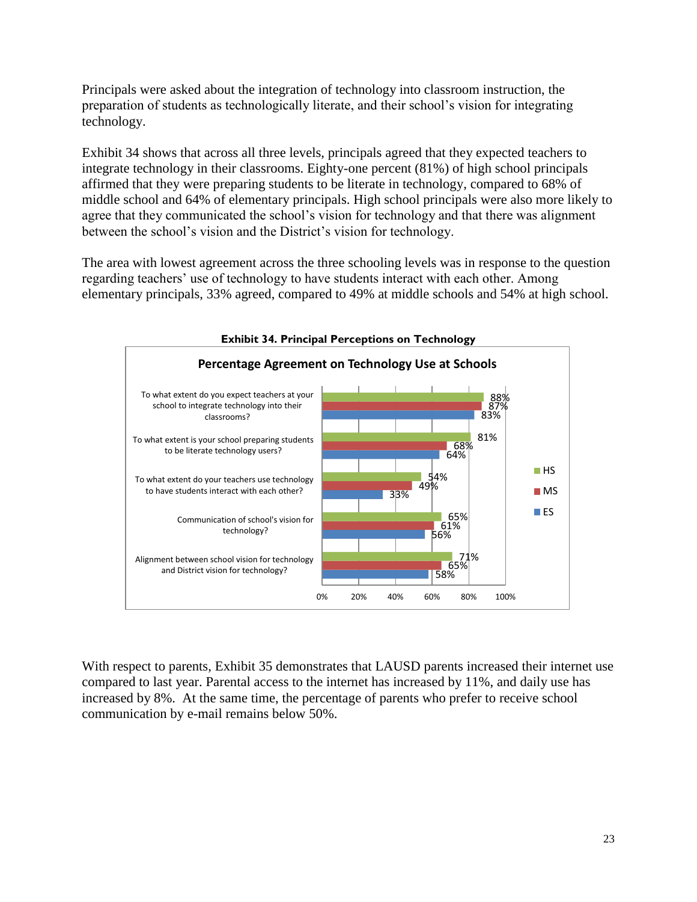Principals were asked about the integration of technology into classroom instruction, the preparation of students as technologically literate, and their school's vision for integrating technology.

Exhibit 34 shows that across all three levels, principals agreed that they expected teachers to integrate technology in their classrooms. Eighty-one percent (81%) of high school principals affirmed that they were preparing students to be literate in technology, compared to 68% of middle school and 64% of elementary principals. High school principals were also more likely to agree that they communicated the school's vision for technology and that there was alignment between the school's vision and the District's vision for technology.

The area with lowest agreement across the three schooling levels was in response to the question regarding teachers' use of technology to have students interact with each other. Among elementary principals, 33% agreed, compared to 49% at middle schools and 54% at high school.



With respect to parents, Exhibit 35 demonstrates that LAUSD parents increased their internet use compared to last year. Parental access to the internet has increased by 11%, and daily use has increased by 8%. At the same time, the percentage of parents who prefer to receive school communication by e-mail remains below 50%.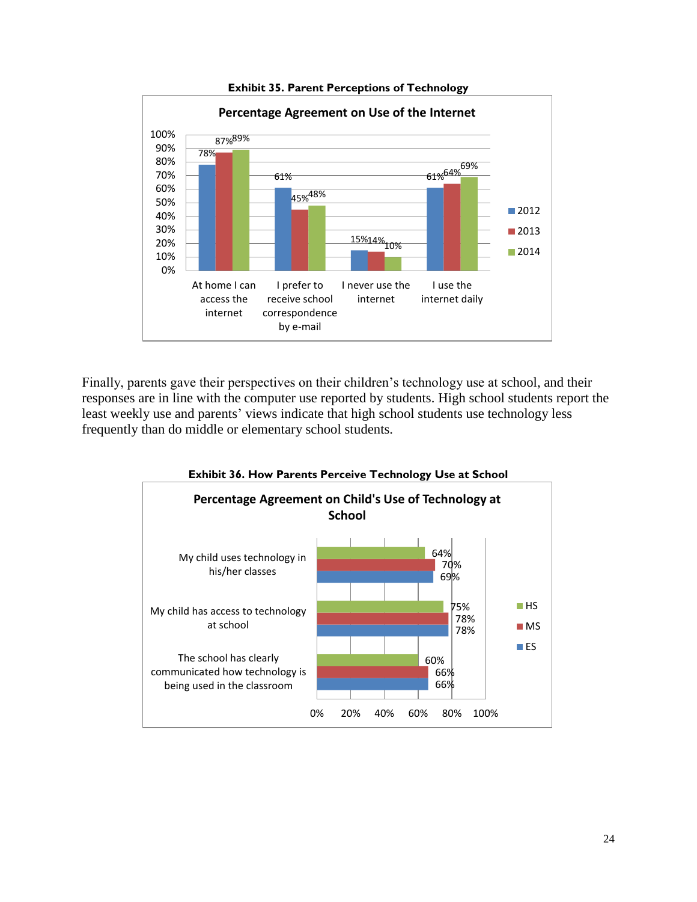

**Exhibit 35. Parent Perceptions of Technology** 

Finally, parents gave their perspectives on their children's technology use at school, and their responses are in line with the computer use reported by students. High school students report the least weekly use and parents' views indicate that high school students use technology less frequently than do middle or elementary school students.